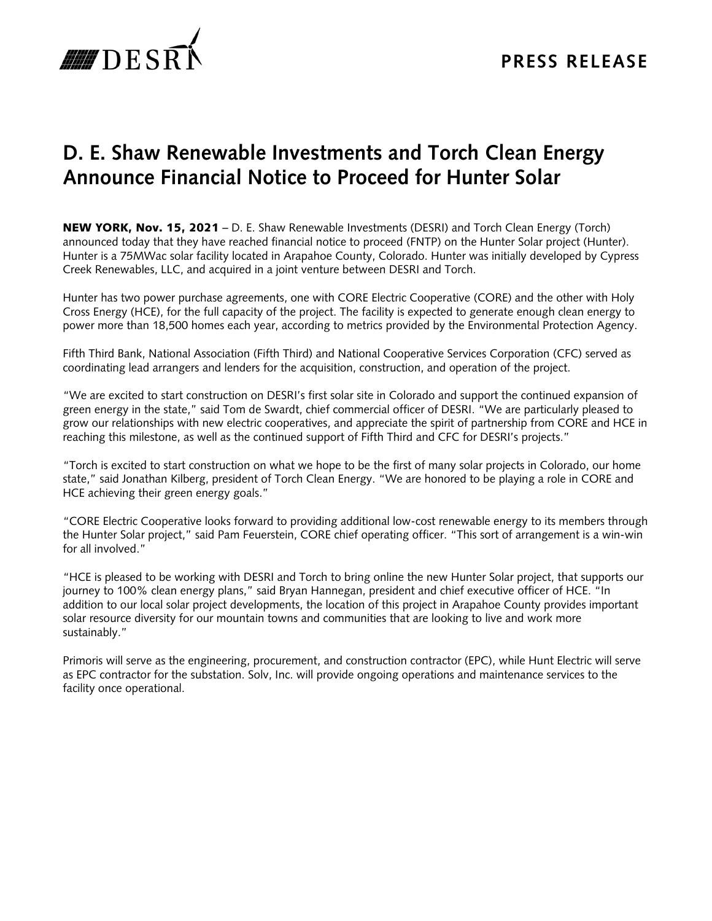

# **D. E. Shaw Renewable Investments and Torch Clean Energy Announce Financial Notice to Proceed for Hunter Solar**

NEW YORK, Nov. 15, 2021 – D. E. Shaw Renewable Investments (DESRI) and Torch Clean Energy (Torch) announced today that they have reached financial notice to proceed (FNTP) on the Hunter Solar project (Hunter). Hunter is a 75MWac solar facility located in Arapahoe County, Colorado. Hunter was initially developed by Cypress Creek Renewables, LLC, and acquired in a joint venture between DESRI and Torch.

Hunter has two power purchase agreements, one with CORE Electric Cooperative (CORE) and the other with Holy Cross Energy (HCE), for the full capacity of the project. The facility is expected to generate enough clean energy to power more than 18,500 homes each year, according to metrics provided by the Environmental Protection Agency.

Fifth Third Bank, National Association (Fifth Third) and National Cooperative Services Corporation (CFC) served as coordinating lead arrangers and lenders for the acquisition, construction, and operation of the project.

"We are excited to start construction on DESRI's first solar site in Colorado and support the continued expansion of green energy in the state," said Tom de Swardt, chief commercial officer of DESRI. "We are particularly pleased to grow our relationships with new electric cooperatives, and appreciate the spirit of partnership from CORE and HCE in reaching this milestone, as well as the continued support of Fifth Third and CFC for DESRI's projects."

"Torch is excited to start construction on what we hope to be the first of many solar projects in Colorado, our home state," said Jonathan Kilberg, president of Torch Clean Energy. "We are honored to be playing a role in CORE and HCE achieving their green energy goals."

"CORE Electric Cooperative looks forward to providing additional low-cost renewable energy to its members through the Hunter Solar project," said Pam Feuerstein, CORE chief operating officer. "This sort of arrangement is a win-win for all involved."

"HCE is pleased to be working with DESRI and Torch to bring online the new Hunter Solar project, that supports our journey to 100% clean energy plans," said Bryan Hannegan, president and chief executive officer of HCE. "In addition to our local solar project developments, the location of this project in Arapahoe County provides important solar resource diversity for our mountain towns and communities that are looking to live and work more sustainably."

Primoris will serve as the engineering, procurement, and construction contractor (EPC), while Hunt Electric will serve as EPC contractor for the substation. Solv, Inc. will provide ongoing operations and maintenance services to the facility once operational.